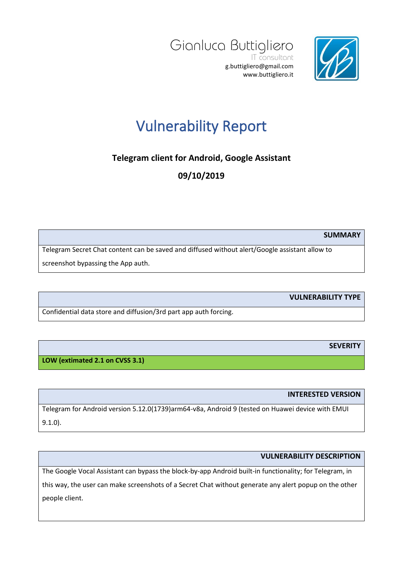



## Vulnerability Report

**Telegram client for Android, Google Assistant**

**09/10/2019**

**SUMMARY**

Telegram Secret Chat content can be saved and diffused without alert/Google assistant allow to screenshot bypassing the App auth.

**VULNERABILITY TYPE**

Confidential data store and diffusion/3rd part app auth forcing.

**SEVERITY**

**LOW (extimated 2.1 on CVSS 3.1)**

**INTERESTED VERSION**

Telegram for Android version 5.12.0(1739)arm64-v8a, Android 9 (tested on Huawei device with EMUI 9.1.0).

## **VULNERABILITY DESCRIPTION**

The Google Vocal Assistant can bypass the block-by-app Android built-in functionality; for Telegram, in

this way, the user can make screenshots of a Secret Chat without generate any alert popup on the other people client.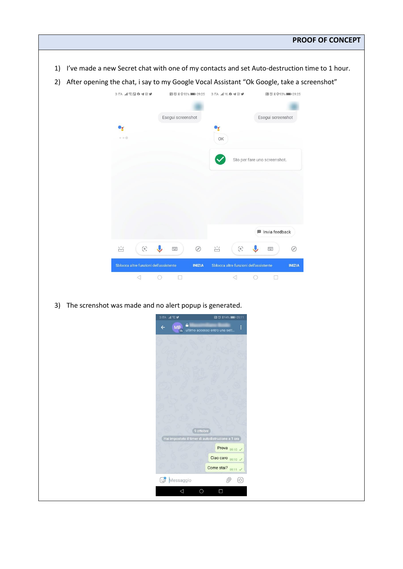